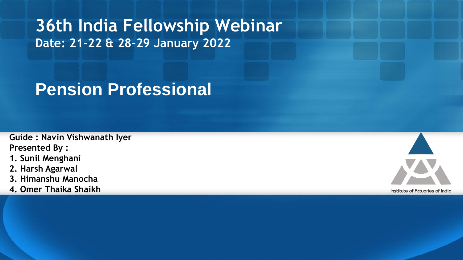# **36th India Fellowship Webinar Date: 21-22 & 28-29 January 2022**

# **Pension Professional**

**Guide : Navin Vishwanath Iyer Presented By :** 

- **1. Sunil Menghani**
- **2. Harsh Agarwal**
- **3. Himanshu Manocha**
- **4. Omer Thaika Shaikh**

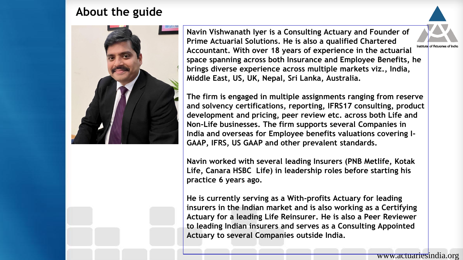#### **About the guide**



**Navin Vishwanath Iyer is a Consulting Actuary and Founder of Prime Actuarial Solutions. He is also a qualified Chartered**  Institute of Actuories of India **Accountant. With over 18 years of experience in the actuarial space spanning across both Insurance and Employee Benefits, he brings diverse experience across multiple markets viz., India, Middle East, US, UK, Nepal, Sri Lanka, Australia.** 

**The firm is engaged in multiple assignments ranging from reserve and solvency certifications, reporting, IFRS17 consulting, product development and pricing, peer review etc. across both Life and Non-Life businesses. The firm supports several Companies in India and overseas for Employee benefits valuations covering I-GAAP, IFRS, US GAAP and other prevalent standards.**

**Navin worked with several leading Insurers (PNB Metlife, Kotak Life, Canara HSBC Life) in leadership roles before starting his practice 6 years ago.**

**He is currently serving as a With-profits Actuary for leading insurers in the Indian market and is also working as a Certifying Actuary for a leading Life Reinsurer. He is also a Peer Reviewer to leading Indian insurers and serves as a Consulting Appointed Actuary to several Companies outside India.**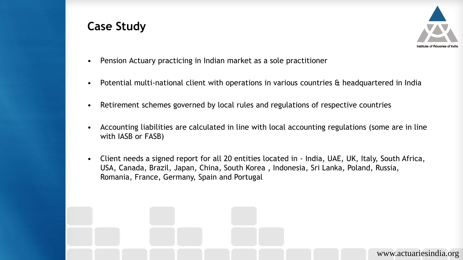#### **Case Study**



- Pension Actuary practicing in Indian market as a sole practitioner
- Potential multi-national client with operations in various countries & headquartered in India
- Retirement schemes governed by local rules and regulations of respective countries
- Accounting liabilities are calculated in line with local accounting regulations (some are in line with IASB or FASB)
- Client needs a signed report for all 20 entities located in India, UAE, UK, Italy, South Africa, USA, Canada, Brazil, Japan, China, South Korea , Indonesia, Sri Lanka, Poland, Russia, Romania, France, Germany, Spain and Portugal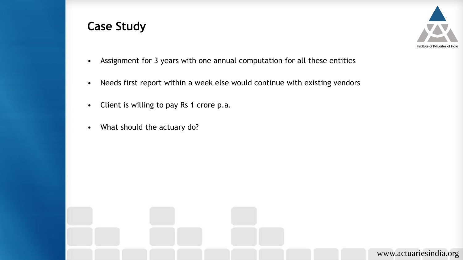#### **Case Study**



- Assignment for 3 years with one annual computation for all these entities
- Needs first report within a week else would continue with existing vendors
- Client is willing to pay Rs 1 crore p.a.
- What should the actuary do?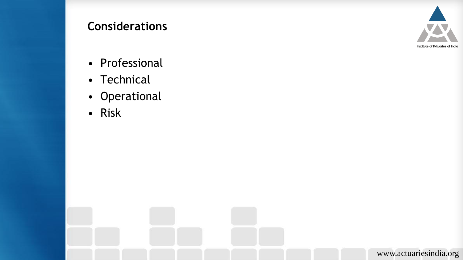## **Considerations**



- Professional
- Technical
- Operational
- Risk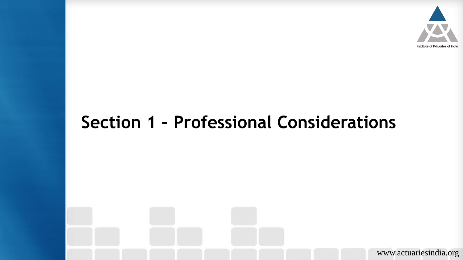

# **Section 1 – Professional Considerations**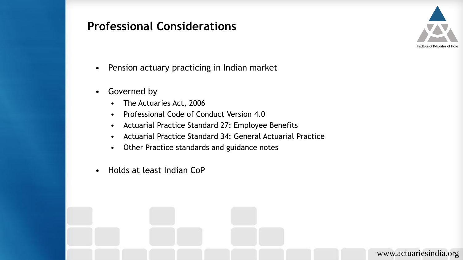

- Pension actuary practicing in Indian market
- Governed by
	- The Actuaries Act, 2006
	- Professional Code of Conduct Version 4.0
	- Actuarial Practice Standard 27: Employee Benefits
	- Actuarial Practice Standard 34: General Actuarial Practice
	- Other Practice standards and guidance notes
- Holds at least Indian CoP

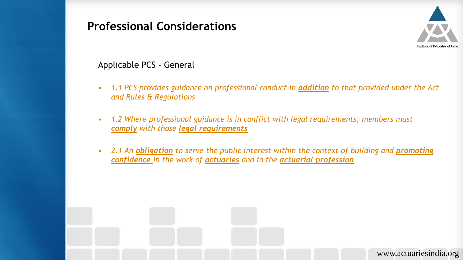

Applicable PCS - General

- *1.1 PCS provides guidance on professional conduct in addition to that provided under the Act and Rules & Regulations*
- *1.2 Where professional guidance is in conflict with legal requirements, members must comply with those legal requirements*
- 2.1 An *obligation* to serve the public interest within the context of building and **promoting** *confidence in the work of actuaries and in the actuarial profession*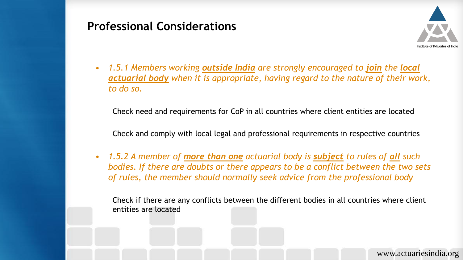

• *1.5.1 Members working outside India are strongly encouraged to join the local actuarial body when it is appropriate, having regard to the nature of their work, to do so.*

Check need and requirements for CoP in all countries where client entities are located

Check and comply with local legal and professional requirements in respective countries

• *1.5.2 A member of more than one actuarial body is subject to rules of all such bodies. If there are doubts or there appears to be a conflict between the two sets of rules, the member should normally seek advice from the professional body*

Check if there are any conflicts between the different bodies in all countries where client entities are located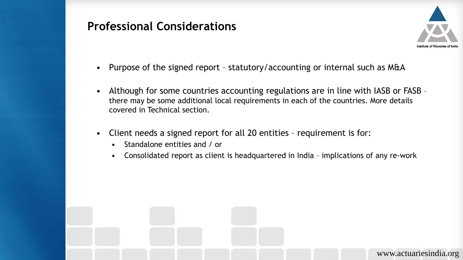

- Purpose of the signed report statutory/accounting or internal such as M&A
- Although for some countries accounting regulations are in line with IASB or FASB there may be some additional local requirements in each of the countries. More details covered in Technical section.
- Client needs a signed report for all 20 entities requirement is for:
	- Standalone entities and / or
	- Consolidated report as client is headquartered in India implications of any re-work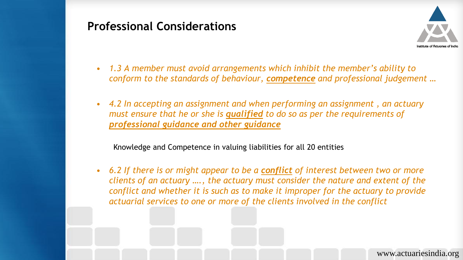

- *1.3 A member must avoid arrangements which inhibit the member's ability to conform to the standards of behaviour, competence and professional judgement …*
- *4.2 In accepting an assignment and when performing an assignment , an actuary must ensure that he or she is qualified to do so as per the requirements of professional guidance and other guidance*

Knowledge and Competence in valuing liabilities for all 20 entities

• *6.2 If there is or might appear to be a conflict of interest between two or more clients of an actuary …., the actuary must consider the nature and extent of the conflict and whether it is such as to make it improper for the actuary to provide actuarial services to one or more of the clients involved in the conflict*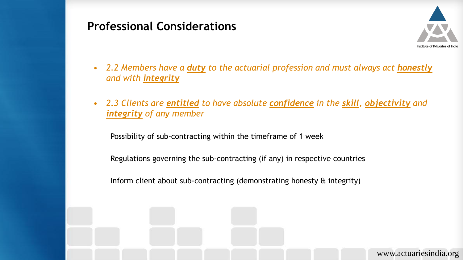

- *2.2 Members have a duty to the actuarial profession and must always act honestly and with integrity*
- *2.3 Clients are entitled to have absolute confidence in the skill, objectivity and integrity of any member*

Possibility of sub-contracting within the timeframe of 1 week

Regulations governing the sub-contracting (if any) in respective countries

Inform client about sub-contracting (demonstrating honesty & integrity)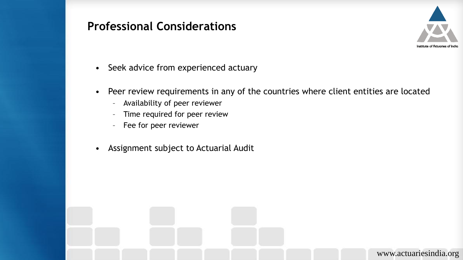

- Seek advice from experienced actuary
- Peer review requirements in any of the countries where client entities are located
	- Availability of peer reviewer
	- Time required for peer review
	- Fee for peer reviewer
- Assignment subject to Actuarial Audit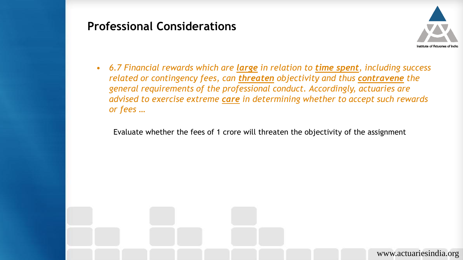

• *6.7 Financial rewards which are large in relation to time spent, including success related or contingency fees, can threaten objectivity and thus contravene the general requirements of the professional conduct. Accordingly, actuaries are advised to exercise extreme care in determining whether to accept such rewards or fees …*

Evaluate whether the fees of 1 crore will threaten the objectivity of the assignment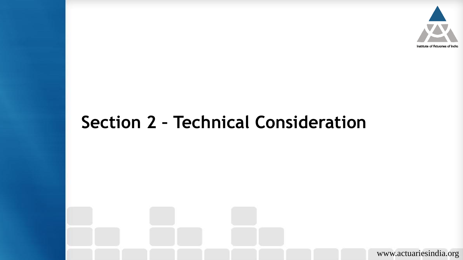

# **Section 2 – Technical Consideration**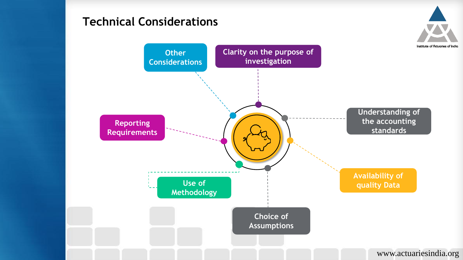## **Technical Considerations**

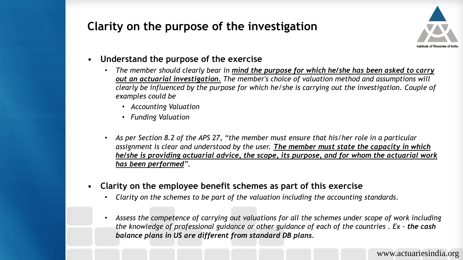# **Clarity on the purpose of the investigation**



- **Understand the purpose of the exercise** 
	- *The member should clearly bear in mind the purpose for which he/she has been asked to carry out an actuarial investigation. The member's choice of valuation method and assumptions will clearly be influenced by the purpose for which he/she is carrying out the investigation. Couple of examples could be* 
		- *Accounting Valuation*
		- *Funding Valuation*
	- *As per Section 8.2 of the APS 27, "the member must ensure that his/her role in a particular assignment is clear and understood by the user. The member must state the capacity in which he/she is providing actuarial advice, the scope, its purpose, and for whom the actuarial work has been performed".*
- **Clarity on the employee benefit schemes as part of this exercise** 
	- *Clarity on the schemes to be part of the valuation including the accounting standards.*
	- *Assess the competence of carrying out valuations for all the schemes under scope of work including the knowledge of professional guidance or other guidance of each of the countries . Ex - the cash balance plans in US are different from standard DB plans.*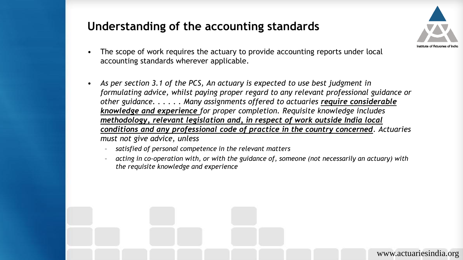#### **Understanding of the accounting standards**



- The scope of work requires the actuary to provide accounting reports under local accounting standards wherever applicable.
- As per section 3.1 of the PCS, An actuary is expected to use best judgment in *formulating advice, whilst paying proper regard to any relevant professional guidance or other guidance. . . . . . Many assignments offered to actuaries require considerable knowledge and experience for proper completion. Requisite knowledge includes methodology, relevant legislation and, in respect of work outside India local conditions and any professional code of practice in the country concerned. Actuaries must not give advice, unless*
	- *satisfied of personal competence in the relevant matters*
	- *acting in co-operation with, or with the guidance of, someone (not necessarily an actuary) with the requisite knowledge and experience*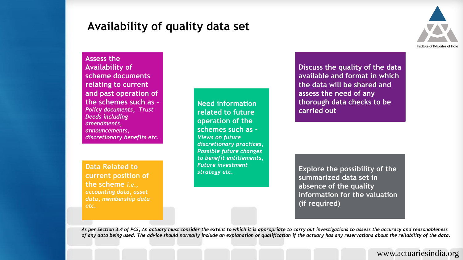#### **Availability of quality data set**



**Assess the Availability of scheme documents relating to current and past operation of the schemes such as –** *Policy documents, Trust Deeds including amendments, announcements, discretionary benefits etc.* 

**Data Related to current position of the scheme** *i.e., accounting data, asset data, membership data etc.* 

**Need information related to future operation of the schemes such as -** *Views on future discretionary practices, Possible future changes to benefit entitlements, Future investment strategy etc.* 

**Discuss the quality of the data available and format in which the data will be shared and assess the need of any thorough data checks to be carried out** 

**Explore the possibility of the summarized data set in absence of the quality information for the valuation (if required)**

*As per Section 3.4 of PCS, An actuary must consider the extent to which it is appropriate to carry out investigations to assess the accuracy and reasonableness of any data being used. The advice should normally include an explanation or qualification if the actuary has any reservations about the reliability of the data.*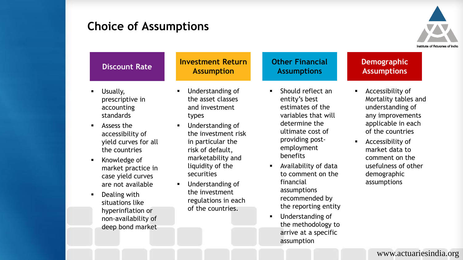#### **Choice of Assumptions**

situations like hyperinflation or non-availability of deep bond market



| <b>Discount Rate</b>                                                                           | <b>Investment Return</b><br><b>Assumption</b>                    | <b>Other Financial</b><br><b>Assumptions</b>                                                                                                                                                                                                                                                                                                                                                                              | <b>Demographic</b><br><b>Assumptions</b>                                                                                                                                                                                                                    |  |
|------------------------------------------------------------------------------------------------|------------------------------------------------------------------|---------------------------------------------------------------------------------------------------------------------------------------------------------------------------------------------------------------------------------------------------------------------------------------------------------------------------------------------------------------------------------------------------------------------------|-------------------------------------------------------------------------------------------------------------------------------------------------------------------------------------------------------------------------------------------------------------|--|
| Usually,<br>$\blacksquare$<br>prescriptive in<br>accounting<br><b>standards</b>                | Understanding of<br>the asset classes<br>and investment<br>types | Should reflect an<br>entity's best<br>estimates of the<br>variables that will<br>determine the<br>Understanding of<br>ultimate cost of<br>the investment risk<br>providing post-<br>in particular the<br>employment<br>risk of default,<br>benefits<br>marketability and<br>liquidity of the<br>Availability of data<br>to comment on the<br>securities<br>financial<br>Understanding of<br>assumptions<br>the investment | • Accessibility of<br>Mortality tables and<br>understanding of<br>any improvements<br>applicable in each<br>of the countries<br>Accessibility of<br>$\blacksquare$<br>market data to<br>comment on the<br>usefulness of other<br>demographic<br>assumptions |  |
| Assess the<br>$\blacksquare$<br>accessibility of<br>yield curves for all<br>the countries      | $\blacksquare$<br>$\blacksquare$                                 |                                                                                                                                                                                                                                                                                                                                                                                                                           |                                                                                                                                                                                                                                                             |  |
| Knowledge of<br>$\blacksquare$<br>market practice in<br>case yield curves<br>are not available |                                                                  |                                                                                                                                                                                                                                                                                                                                                                                                                           |                                                                                                                                                                                                                                                             |  |
| Dealing with<br>$\blacksquare$                                                                 |                                                                  |                                                                                                                                                                                                                                                                                                                                                                                                                           |                                                                                                                                                                                                                                                             |  |

regulations in each of the countries.

recommended by the reporting entity

the methodology to arrive at a specific

**■** Understanding of

assumption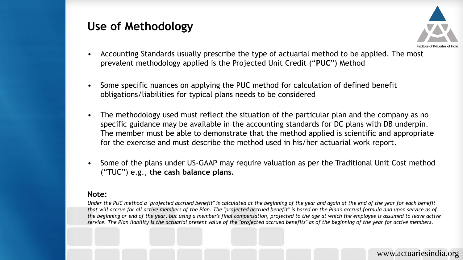## **Use of Methodology**



- Accounting Standards usually prescribe the type of actuarial method to be applied. The most prevalent methodology applied is the Projected Unit Credit ("**PUC**") Method
- Some specific nuances on applying the PUC method for calculation of defined benefit obligations/liabilities for typical plans needs to be considered
- The methodology used must reflect the situation of the particular plan and the company as no specific guidance may be available in the accounting standards for DC plans with DB underpin. The member must be able to demonstrate that the method applied is scientific and appropriate for the exercise and must describe the method used in his/her actuarial work report.
- Some of the plans under US-GAAP may require valuation as per the Traditional Unit Cost method ("TUC") e.g., **the cash balance plans.**

#### **Note:**

*Under the PUC method a "projected accrued benefit" is calculated at the beginning of the year and again at the end of the year for each benefit that will accrue for all active members of the Plan. The "projected accrued benefit" is based on the Plan's accrual formula and upon service as of the beginning or end of the year, but using a member's final compensation, projected to the age at which the employee is assumed to leave active service. The Plan liability is the actuarial present value of the "projected accrued benefits" as of the beginning of the year for active members.*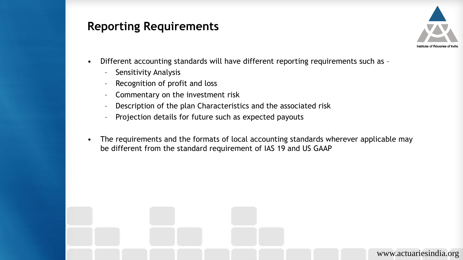#### **Reporting Requirements**



- Different accounting standards will have different reporting requirements such as -
	- Sensitivity Analysis
	- Recognition of profit and loss
	- Commentary on the investment risk
	- Description of the plan Characteristics and the associated risk
	- Projection details for future such as expected payouts
- The requirements and the formats of local accounting standards wherever applicable may be different from the standard requirement of IAS 19 and US GAAP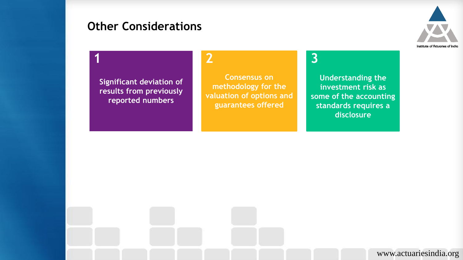### **Other Considerations**



# **1 2 3**

**Significant deviation of results from previously reported numbers** 

**Consensus on methodology for the valuation of options and guarantees offered** 

**Understanding the investment risk as some of the accounting standards requires a disclosure**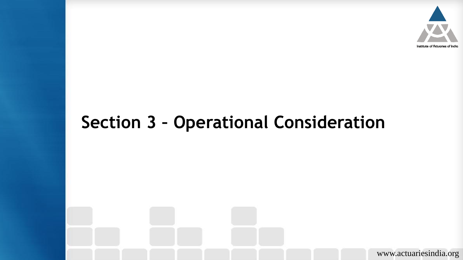

# **Section 3 – Operational Consideration**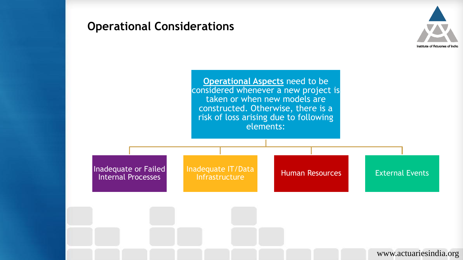

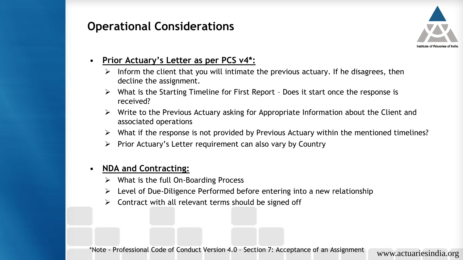

#### • **Prior Actuary's Letter as per PCS v4\*:**

- ➢ Inform the client that you will intimate the previous actuary. If he disagrees, then decline the assignment.
- $\triangleright$  What is the Starting Timeline for First Report Does it start once the response is received?
- ➢ Write to the Previous Actuary asking for Appropriate Information about the Client and associated operations
- ➢ What if the response is not provided by Previous Actuary within the mentioned timelines?
- ➢ Prior Actuary's Letter requirement can also vary by Country

#### • **NDA and Contracting:**

- $\triangleright$  What is the full On-Boarding Process
- ➢ Level of Due-Diligence Performed before entering into a new relationship
- $\triangleright$  Contract with all relevant terms should be signed off

\*Note - Professional Code of Conduct Version 4.0 – Section 7: Acceptance of an Assignment www.actuariesindia.org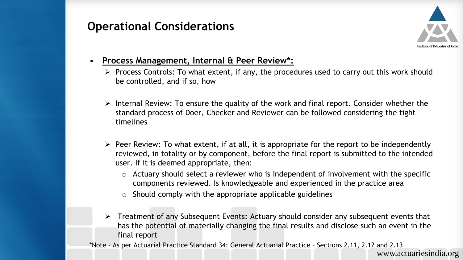

- **Process Management, Internal & Peer Review\*:**
	- ➢ Process Controls: To what extent, if any, the procedures used to carry out this work should be controlled, and if so, how
	- $\triangleright$  Internal Review: To ensure the quality of the work and final report. Consider whether the standard process of Doer, Checker and Reviewer can be followed considering the tight timelines
	- $\triangleright$  Peer Review: To what extent, if at all, it is appropriate for the report to be independently reviewed, in totality or by component, before the final report is submitted to the intended user. If it is deemed appropriate, then:
		- $\circ$  Actuary should select a reviewer who is independent of involvement with the specific components reviewed. Is knowledgeable and experienced in the practice area
		- $\circ$  Should comply with the appropriate applicable guidelines
	- ➢ Treatment of any Subsequent Events: Actuary should consider any subsequent events that has the potential of materially changing the final results and disclose such an event in the final report

\*Note - As per Actuarial Practice Standard 34: General Actuarial Practice – Sections 2.11, 2.12 and 2.13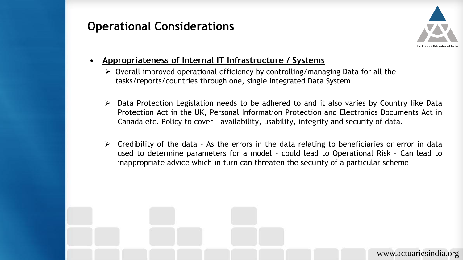

- **Appropriateness of Internal IT Infrastructure / Systems**
	- $\triangleright$  Overall improved operational efficiency by controlling/managing Data for all the tasks/reports/countries through one, single Integrated Data System
	- $\triangleright$  Data Protection Legislation needs to be adhered to and it also varies by Country like Data Protection Act in the UK, Personal Information Protection and Electronics Documents Act in Canada etc. Policy to cover – availability, usability, integrity and security of data.
	- $\triangleright$  Credibility of the data As the errors in the data relating to beneficiaries or error in data used to determine parameters for a model – could lead to Operational Risk – Can lead to inappropriate advice which in turn can threaten the security of a particular scheme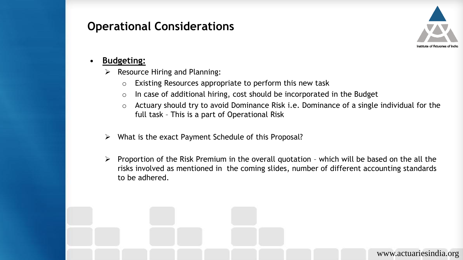

#### • **Budgeting:**

- $\triangleright$  Resource Hiring and Planning:
	- o Existing Resources appropriate to perform this new task
	- o In case of additional hiring, cost should be incorporated in the Budget
	- o Actuary should try to avoid Dominance Risk i.e. Dominance of a single individual for the full task – This is a part of Operational Risk
- ➢ What is the exact Payment Schedule of this Proposal?
- $\triangleright$  Proportion of the Risk Premium in the overall quotation which will be based on the all the risks involved as mentioned in the coming slides, number of different accounting standards to be adhered.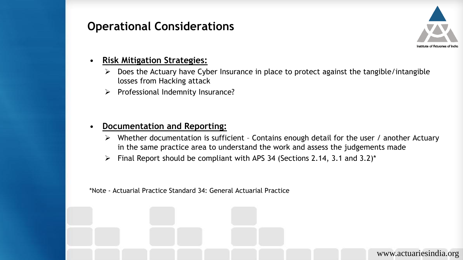

#### • **Risk Mitigation Strategies:**

- $\triangleright$  Does the Actuary have Cyber Insurance in place to protect against the tangible/intangible losses from Hacking attack
- ➢ Professional Indemnity Insurance?

#### • **Documentation and Reporting:**

- $\triangleright$  Whether documentation is sufficient Contains enough detail for the user / another Actuary in the same practice area to understand the work and assess the judgements made
- $\triangleright$  Final Report should be compliant with APS 34 (Sections 2.14, 3.1 and 3.2)\*

\*Note - Actuarial Practice Standard 34: General Actuarial Practice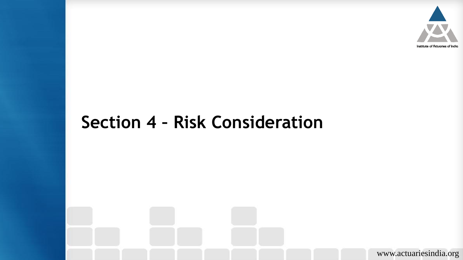

# **Section 4 – Risk Consideration**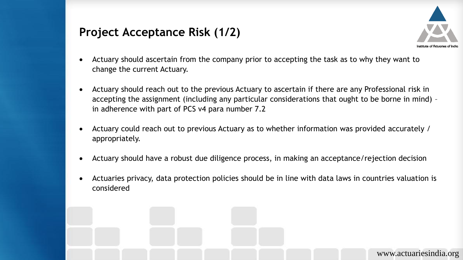## **Project Acceptance Risk (1/2)**



- Actuary should ascertain from the company prior to accepting the task as to why they want to change the current Actuary.
- Actuary should reach out to the previous Actuary to ascertain if there are any Professional risk in accepting the assignment (including any particular considerations that ought to be borne in mind) – in adherence with part of PCS v4 para number 7.2
- Actuary could reach out to previous Actuary as to whether information was provided accurately / appropriately.
- Actuary should have a robust due diligence process, in making an acceptance/rejection decision
- Actuaries privacy, data protection policies should be in line with data laws in countries valuation is considered

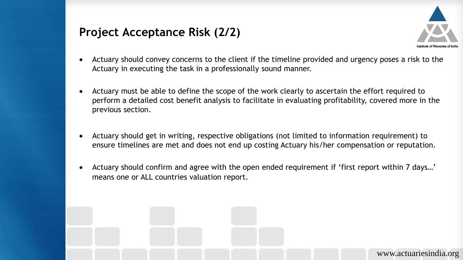## **Project Acceptance Risk (2/2)**



- Actuary should convey concerns to the client if the timeline provided and urgency poses a risk to the Actuary in executing the task in a professionally sound manner.
- Actuary must be able to define the scope of the work clearly to ascertain the effort required to perform a detailed cost benefit analysis to facilitate in evaluating profitability, covered more in the previous section.
- Actuary should get in writing, respective obligations (not limited to information requirement) to ensure timelines are met and does not end up costing Actuary his/her compensation or reputation.
- Actuary should confirm and agree with the open ended requirement if 'first report within 7 days…' means one or ALL countries valuation report.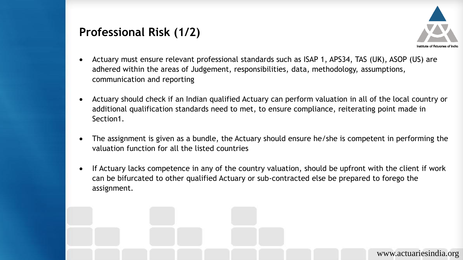## **Professional Risk (1/2)**



- Actuary must ensure relevant professional standards such as ISAP 1, APS34, TAS (UK), ASOP (US) are adhered within the areas of Judgement, responsibilities, data, methodology, assumptions, communication and reporting
- Actuary should check if an Indian qualified Actuary can perform valuation in all of the local country or additional qualification standards need to met, to ensure compliance, reiterating point made in Section1.
- The assignment is given as a bundle, the Actuary should ensure he/she is competent in performing the valuation function for all the listed countries
- If Actuary lacks competence in any of the country valuation, should be upfront with the client if work can be bifurcated to other qualified Actuary or sub-contracted else be prepared to forego the assignment.

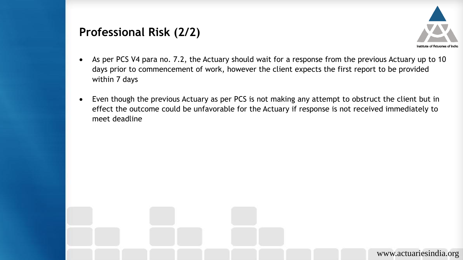#### **Professional Risk (2/2)**



- As per PCS V4 para no. 7.2, the Actuary should wait for a response from the previous Actuary up to 10 days prior to commencement of work, however the client expects the first report to be provided within 7 days
- Even though the previous Actuary as per PCS is not making any attempt to obstruct the client but in effect the outcome could be unfavorable for the Actuary if response is not received immediately to meet deadline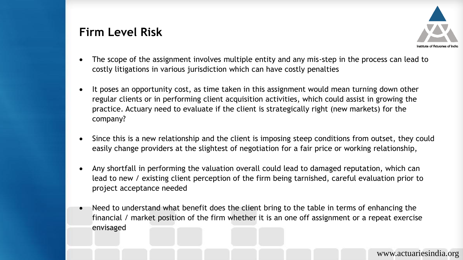## **Firm Level Risk**



- The scope of the assignment involves multiple entity and any mis-step in the process can lead to costly litigations in various jurisdiction which can have costly penalties
- It poses an opportunity cost, as time taken in this assignment would mean turning down other regular clients or in performing client acquisition activities, which could assist in growing the practice. Actuary need to evaluate if the client is strategically right (new markets) for the company?
- Since this is a new relationship and the client is imposing steep conditions from outset, they could easily change providers at the slightest of negotiation for a fair price or working relationship,
- Any shortfall in performing the valuation overall could lead to damaged reputation, which can lead to new / existing client perception of the firm being tarnished, careful evaluation prior to project acceptance needed
- Need to understand what benefit does the client bring to the table in terms of enhancing the financial / market position of the firm whether it is an one off assignment or a repeat exercise envisaged